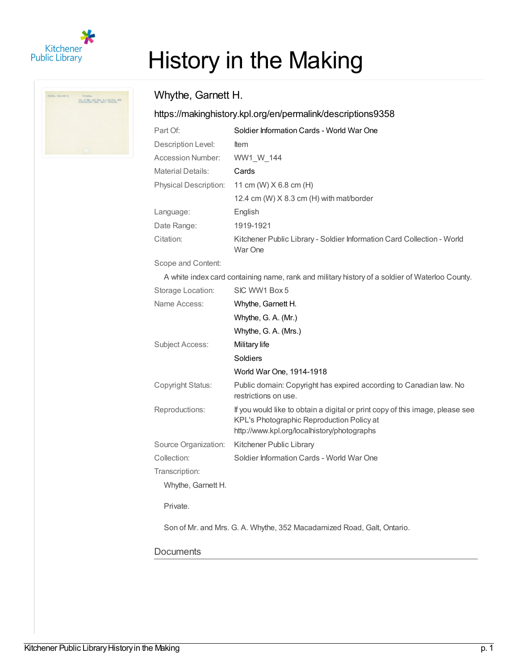

 $\frac{1}{2}$  and  $\frac{1}{2}$  and  $\frac{1}{2}$  and  $\frac{1}{2}$  and  $\frac{1}{2}$  and  $\frac{1}{2}$  and  $\frac{1}{2}$  and  $\frac{1}{2}$  and  $\frac{1}{2}$ 

# History in the Making

# Whythe, Garnett H.

## <https://makinghistory.kpl.org/en/permalink/descriptions9358>

| Part Of:                     | Soldier Information Cards - World War One                                         |
|------------------------------|-----------------------------------------------------------------------------------|
| Description Level:           | <b>Item</b>                                                                       |
| Accession Number:            | WW1 W 144                                                                         |
| <b>Material Details:</b>     | Cards                                                                             |
| <b>Physical Description:</b> | 11 cm (W) $X$ 6.8 cm (H)                                                          |
|                              | 12.4 cm (W) $X$ 8.3 cm (H) with mat/border                                        |
| Language:                    | English                                                                           |
| Date Range:                  | 1919-1921                                                                         |
| Citation:                    | Kitchener Public Library - Soldier Information Card Collection - World<br>War One |

Scope and Content:

A white index card containing name, rank and military history of a soldier of Waterloo County.

| Storage Location:    | SIC WW1 Box 5                                                                                                                                                             |
|----------------------|---------------------------------------------------------------------------------------------------------------------------------------------------------------------------|
| Name Access:         | Whythe, Garnett H.                                                                                                                                                        |
|                      | Whythe, G. A. (Mr.)                                                                                                                                                       |
|                      | Whythe, G. A. (Mrs.)                                                                                                                                                      |
| Subject Access:      | Military life                                                                                                                                                             |
|                      | Soldiers                                                                                                                                                                  |
|                      | World War One, 1914-1918                                                                                                                                                  |
| Copyright Status:    | Public domain: Copyright has expired according to Canadian law. No<br>restrictions on use.                                                                                |
| Reproductions:       | If you would like to obtain a digital or print copy of this image, please see<br>KPL's Photographic Reproduction Policy at<br>http://www.kpl.org/localhistory/photographs |
| Source Organization: | Kitchener Public Library                                                                                                                                                  |
| Collection:          | Soldier Information Cards - World War One                                                                                                                                 |
| Transcription:       |                                                                                                                                                                           |
| Whythe, Garnett H.   |                                                                                                                                                                           |
| Private.             |                                                                                                                                                                           |
|                      | Son of Mr. and Mrs. G. A. Whythe, 352 Macadamized Road, Galt, Ontario.                                                                                                    |
|                      |                                                                                                                                                                           |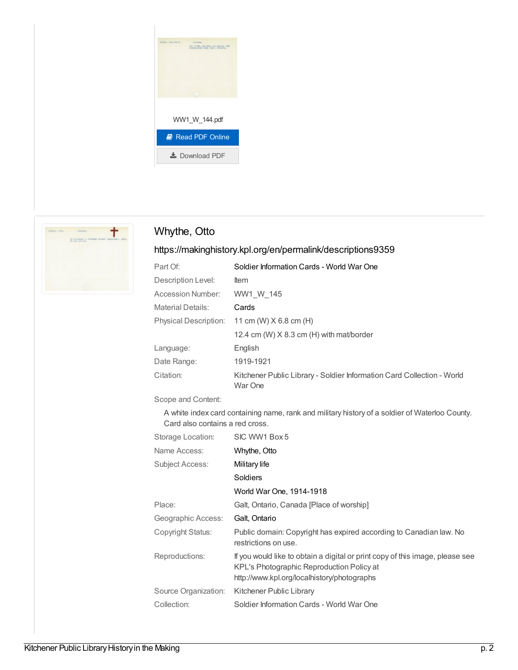



# Whythe, Otto

## <https://makinghistory.kpl.org/en/permalink/descriptions9359>

| Soldier Information Cards - World War One                                         |
|-----------------------------------------------------------------------------------|
| <b>Item</b>                                                                       |
| WW1 W 145                                                                         |
| Cards                                                                             |
| Physical Description: 11 cm (W) X 6.8 cm (H)                                      |
| 12.4 cm (W) $X$ 8.3 cm (H) with mat/border                                        |
| English                                                                           |
| 1919-1921                                                                         |
| Kitchener Public Library - Soldier Information Card Collection - World<br>War One |
|                                                                                   |

Scope and Content:

A white index card containing name, rank and military history of a soldier of Waterloo County. Card also contains a red cross.

| Storage Location:    | SIC WW1 Box 5                                                                                                                                                             |
|----------------------|---------------------------------------------------------------------------------------------------------------------------------------------------------------------------|
| Name Access:         | Whythe, Otto                                                                                                                                                              |
| Subject Access:      | Military life                                                                                                                                                             |
|                      | Soldiers                                                                                                                                                                  |
|                      | World War One, 1914-1918                                                                                                                                                  |
| Place:               | Galt, Ontario, Canada [Place of worship]                                                                                                                                  |
| Geographic Access:   | Galt, Ontario                                                                                                                                                             |
| Copyright Status:    | Public domain: Copyright has expired according to Canadian law. No<br>restrictions on use.                                                                                |
| Reproductions:       | If you would like to obtain a digital or print copy of this image, please see<br>KPL's Photographic Reproduction Policy at<br>http://www.kpl.org/localhistory/photographs |
| Source Organization: | Kitchener Public Library                                                                                                                                                  |
| Collection:          | Soldier Information Cards - World War One                                                                                                                                 |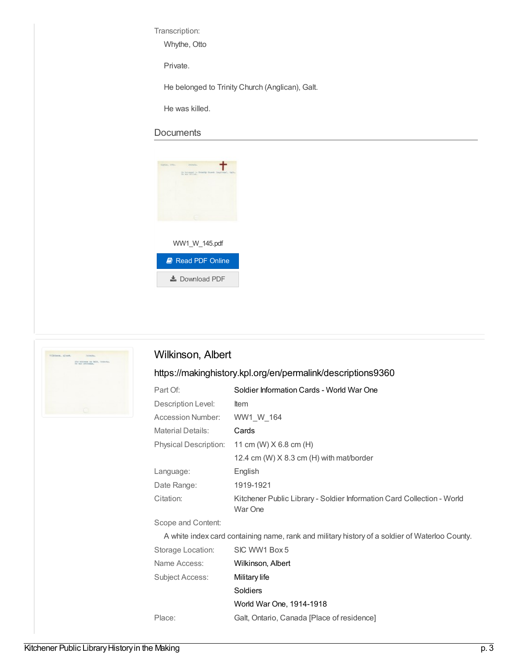Transcription:

Whythe, Otto

Private.

He belonged to Trinity Church (Anglican), Galt.

He was killed.

#### **Documents**

| <b>RIPERS TYNN-</b><br><b>PETRANA-</b><br>He Assunged to Brindly Church (imglines), Call- |
|-------------------------------------------------------------------------------------------|
| the man billiad.                                                                          |
|                                                                                           |
|                                                                                           |
|                                                                                           |
|                                                                                           |
|                                                                                           |
|                                                                                           |
| WW1_W_145.pdf                                                                             |
|                                                                                           |
| <b>A</b> Read PDF Online                                                                  |
|                                                                                           |
| <b>★</b> Download PDF                                                                     |



## Wilkinson, Albert

## <https://makinghistory.kpl.org/en/permalink/descriptions9360>

| Part Of:                     | Soldier Information Cards - World War One                                         |
|------------------------------|-----------------------------------------------------------------------------------|
| Description Level:           | ltem                                                                              |
| Accession Number:            | WW1 W 164                                                                         |
| <b>Material Details:</b>     | Cards                                                                             |
| <b>Physical Description:</b> | 11 cm (W) $X$ 6.8 cm (H)                                                          |
|                              | 12.4 cm (W) $X$ 8.3 cm (H) with mat/border                                        |
| Language:                    | English                                                                           |
| Date Range:                  | 1919-1921                                                                         |
| Citation:                    | Kitchener Public Library - Soldier Information Card Collection - World<br>War One |
| Scope and Content:           |                                                                                   |

A white index card containing name, rank and military history of a soldier of Waterloo County.

| Storage Location: | SIC WW1 Box 5                              |
|-------------------|--------------------------------------------|
| Name Access:      | Wilkinson, Albert                          |
| Subject Access:   | Military life                              |
|                   | Soldiers                                   |
|                   | World War One, 1914-1918                   |
| Place:            | Galt, Ontario, Canada [Place of residence] |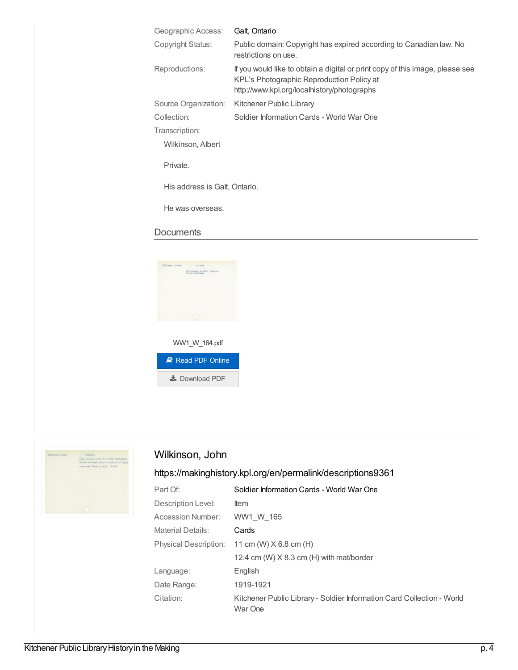| Geographic Access:            | Galt, Ontario                                                                                                                                                             |
|-------------------------------|---------------------------------------------------------------------------------------------------------------------------------------------------------------------------|
| Copyright Status:             | Public domain: Copyright has expired according to Canadian law. No<br>restrictions on use.                                                                                |
| Reproductions:                | If you would like to obtain a digital or print copy of this image, please see<br>KPL's Photographic Reproduction Policy at<br>http://www.kpl.org/localhistory/photographs |
| Source Organization:          | Kitchener Public Library                                                                                                                                                  |
| Collection:                   | Soldier Information Cards - World War One                                                                                                                                 |
| Transcription:                |                                                                                                                                                                           |
| Wilkinson, Albert             |                                                                                                                                                                           |
| Private.                      |                                                                                                                                                                           |
| His address is Galt, Ontario. |                                                                                                                                                                           |
| He was overseas.              |                                                                                                                                                                           |

#### **Documents**





# Wilkinson, John

| Part Of:                     | Soldier Information Cards - World War One                                         |
|------------------------------|-----------------------------------------------------------------------------------|
| Description Level:           | ltem                                                                              |
| <b>Accession Number:</b>     | WW1 W 165                                                                         |
| <b>Material Details:</b>     | Cards                                                                             |
| <b>Physical Description:</b> | 11 cm (W) $X$ 6.8 cm (H)                                                          |
|                              | 12.4 cm (W) $X$ 8.3 cm (H) with mat/border                                        |
| Language:                    | English                                                                           |
| Date Range:                  | 1919-1921                                                                         |
| Citation:                    | Kitchener Public Library - Soldier Information Card Collection - World<br>War One |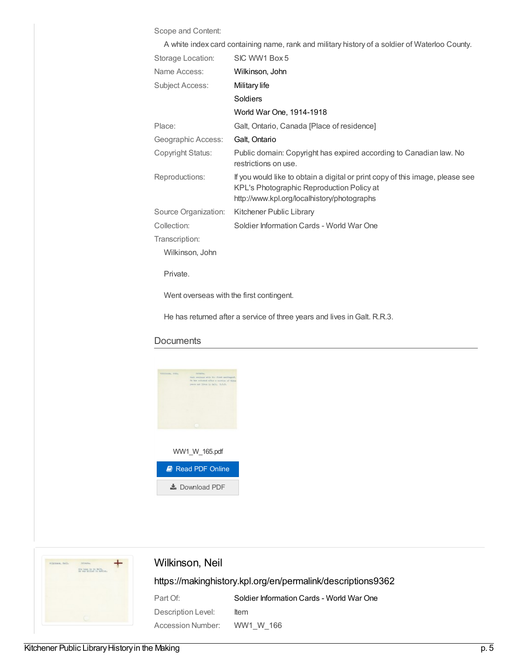#### Scope and Content:

| A white index card containing name, rank and military history of a soldier of Waterloo County. |                 |
|------------------------------------------------------------------------------------------------|-----------------|
| Storage Location:                                                                              | SIC WW1 Box 5   |
| Name Access:                                                                                   | Wilkinson, John |
| Subject Access:                                                                                | Military life   |
|                                                                                                | <b>Soldiers</b> |
|                                                                                                |                 |

|                      | World War One, 1914-1918                                                                                                                                                  |
|----------------------|---------------------------------------------------------------------------------------------------------------------------------------------------------------------------|
| Place:               | Galt, Ontario, Canada [Place of residence]                                                                                                                                |
| Geographic Access:   | Galt, Ontario                                                                                                                                                             |
| Copyright Status:    | Public domain: Copyright has expired according to Canadian law. No<br>restrictions on use.                                                                                |
| Reproductions:       | If you would like to obtain a digital or print copy of this image, please see<br>KPL's Photographic Reproduction Policy at<br>http://www.kpl.org/localhistory/photographs |
| Source Organization: | Kitchener Public Library                                                                                                                                                  |
| Collection:          | Soldier Information Cards - World War One                                                                                                                                 |
| Transcription:       |                                                                                                                                                                           |
| Wilkinson, John      |                                                                                                                                                                           |
| Private.             |                                                                                                                                                                           |

Went overseas with the first contingent.

He has returned after a service of three years and lives in Galt. R.R.3.

#### **Documents**





### Wilkinson, Neil

| Part Of:           | Soldier Information Cards - World War One |
|--------------------|-------------------------------------------|
| Description Level: | ltem                                      |
| Accession Number:  | WW1 W 166                                 |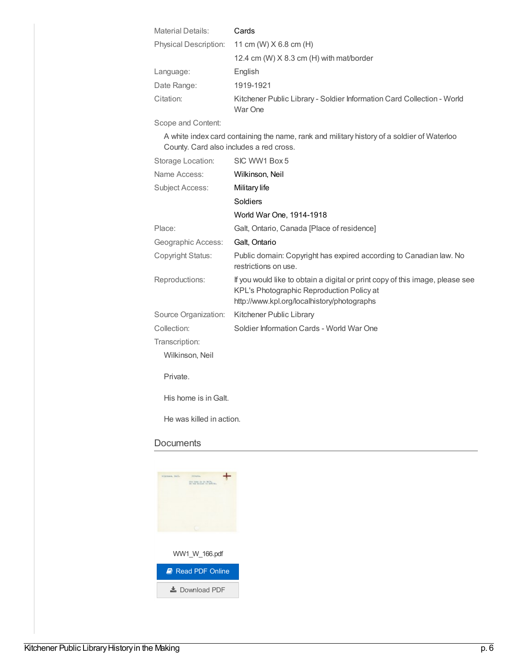| <b>Material Details:</b> | Cards                                                                             |
|--------------------------|-----------------------------------------------------------------------------------|
|                          | Physical Description: 11 cm (W) X 6.8 cm (H)                                      |
|                          | 12.4 cm (W) X 8.3 cm (H) with mat/border                                          |
| Language:                | English                                                                           |
| Date Range:              | 1919-1921                                                                         |
| Citation:                | Kitchener Public Library - Soldier Information Card Collection - World<br>War One |

Scope and Content:

A white index card containing the name, rank and military history of a soldier of Waterloo County. Card also includes a red cross.

| Storage Location:        | SIC WW1 Box 5                                                                                                                                                             |
|--------------------------|---------------------------------------------------------------------------------------------------------------------------------------------------------------------------|
| Name Access:             | Wilkinson, Neil                                                                                                                                                           |
| <b>Subject Access:</b>   | Military life                                                                                                                                                             |
|                          | Soldiers                                                                                                                                                                  |
|                          | World War One, 1914-1918                                                                                                                                                  |
| Place:                   | Galt, Ontario, Canada [Place of residence]                                                                                                                                |
| Geographic Access:       | Galt, Ontario                                                                                                                                                             |
| Copyright Status:        | Public domain: Copyright has expired according to Canadian law. No<br>restrictions on use.                                                                                |
| Reproductions:           | If you would like to obtain a digital or print copy of this image, please see<br>KPL's Photographic Reproduction Policy at<br>http://www.kpl.org/localhistory/photographs |
| Source Organization:     | Kitchener Public Library                                                                                                                                                  |
| Collection:              | Soldier Information Cards - World War One                                                                                                                                 |
| Transcription:           |                                                                                                                                                                           |
| Wilkinson, Neil          |                                                                                                                                                                           |
| Private.                 |                                                                                                                                                                           |
| His home is in Galt.     |                                                                                                                                                                           |
| He was killed in action. |                                                                                                                                                                           |

| micmace, Netl. | Primaka.<br>ITIN NOWS 20 18 MAITH |
|----------------|-----------------------------------|
|                | no was \$131ed in notice.         |
|                |                                   |
|                |                                   |
|                | WW1_W_166.pdf                     |
|                | Read PDF Online                   |
|                | $\frac{1}{2}$ Download PDF        |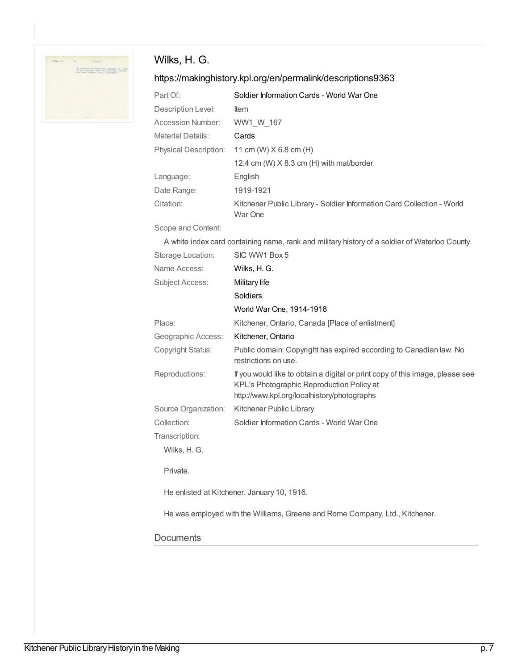

# Wilks, H. G.

## <https://makinghistory.kpl.org/en/permalink/descriptions9363>

| Part Of:              | Soldier Information Cards - World War One                                         |
|-----------------------|-----------------------------------------------------------------------------------|
| Description Level:    | <b>Item</b>                                                                       |
| Accession Number:     | WW1 W 167                                                                         |
| Material Details:     | Cards                                                                             |
| Physical Description: | 11 cm (W) $X$ 6.8 cm (H)                                                          |
|                       | 12.4 cm (W) $X$ 8.3 cm (H) with mat/border                                        |
| Language:             | English                                                                           |
| Date Range:           | 1919-1921                                                                         |
| Citation:             | Kitchener Public Library - Soldier Information Card Collection - World<br>War One |

Scope and Content:

A white index card containing name, rank and military history of a soldier of Waterloo County.

| Storage Location:    | SIC WW1 Box 5                                                                                                                                                             |
|----------------------|---------------------------------------------------------------------------------------------------------------------------------------------------------------------------|
| Name Access:         | Wilks, H. G.                                                                                                                                                              |
| Subject Access:      | Military life                                                                                                                                                             |
|                      | Soldiers                                                                                                                                                                  |
|                      | World War One, 1914-1918                                                                                                                                                  |
| Place:               | Kitchener, Ontario, Canada [Place of enlistment]                                                                                                                          |
| Geographic Access:   | Kitchener, Ontario                                                                                                                                                        |
| Copyright Status:    | Public domain: Copyright has expired according to Canadian law. No<br>restrictions on use.                                                                                |
| Reproductions:       | If you would like to obtain a digital or print copy of this image, please see<br>KPL's Photographic Reproduction Policy at<br>http://www.kpl.org/localhistory/photographs |
| Source Organization: | Kitchener Public Library                                                                                                                                                  |
| Collection:          | Soldier Information Cards - World War One                                                                                                                                 |
| Transcription:       |                                                                                                                                                                           |
| Wilks, H. G.         |                                                                                                                                                                           |
| Private.             |                                                                                                                                                                           |
|                      | He enlisted at Kitchener. January 10, 1916.                                                                                                                               |
|                      | He was employed with the Williams, Greene and Rome Company, Ltd., Kitchener.                                                                                              |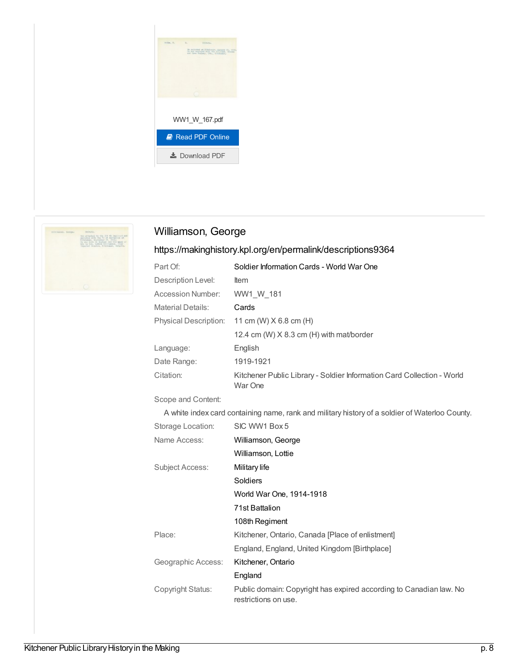



# Williamson, George

## <https://makinghistory.kpl.org/en/permalink/descriptions9364>

| Soldier Information Cards - World War One                                         |
|-----------------------------------------------------------------------------------|
| <b>Item</b>                                                                       |
| WW1 W 181                                                                         |
| Cards                                                                             |
| 11 cm (W) $X$ 6.8 cm (H)                                                          |
| 12.4 cm (W) $X$ 8.3 cm (H) with mat/border                                        |
| English                                                                           |
| 1919-1921                                                                         |
| Kitchener Public Library - Soldier Information Card Collection - World<br>War One |
|                                                                                   |

Scope and Content:

A white index card containing name, rank and military history of a soldier of Waterloo County.

| Storage Location:  | SIC WW1 Box 5                                                                              |
|--------------------|--------------------------------------------------------------------------------------------|
| Name Access:       | Williamson, George                                                                         |
|                    | Williamson, Lottie                                                                         |
| Subject Access:    | Military life                                                                              |
|                    | Soldiers                                                                                   |
|                    | World War One, 1914-1918                                                                   |
|                    | 71st Battalion                                                                             |
|                    | 108th Regiment                                                                             |
| Place:             | Kitchener, Ontario, Canada [Place of enlistment]                                           |
|                    | England, England, United Kingdom [Birthplace]                                              |
| Geographic Access: | Kitchener, Ontario                                                                         |
|                    | England                                                                                    |
| Copyright Status:  | Public domain: Copyright has expired according to Canadian law. No<br>restrictions on use. |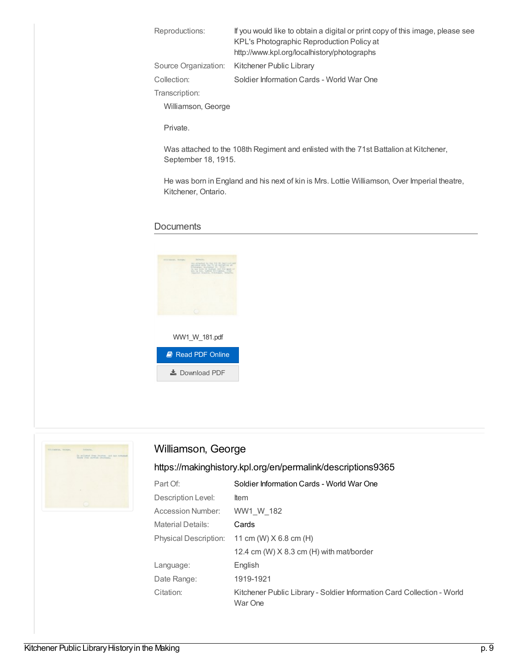| Reproductions:     | If you would like to obtain a digital or print copy of this image, please see<br>KPL's Photographic Reproduction Policy at<br>http://www.kpl.org/localhistory/photographs |
|--------------------|---------------------------------------------------------------------------------------------------------------------------------------------------------------------------|
|                    | Source Organization: Kitchener Public Library                                                                                                                             |
| Collection:        | Soldier Information Cards - World War One                                                                                                                                 |
| Transcription:     |                                                                                                                                                                           |
| Williamson, George |                                                                                                                                                                           |
|                    |                                                                                                                                                                           |

Private.

Was attached to the 108th Regiment and enlisted with the 71st Battalion at Kitchener, September 18, 1915.

He was born in England and his next of kin is Mrs. Lottie Williamson, Over Imperial theatre, Kitchener, Ontario.

#### **Documents**





## Williamson, George

| Part Of:                     | Soldier Information Cards - World War One                                         |
|------------------------------|-----------------------------------------------------------------------------------|
| Description Level:           | <b>Item</b>                                                                       |
| Accession Number:            | WW1 W 182                                                                         |
| <b>Material Details:</b>     | Cards                                                                             |
| <b>Physical Description:</b> | 11 cm (W) $X$ 6.8 cm (H)                                                          |
|                              | 12.4 cm (W) $X$ 8.3 cm (H) with mat/border                                        |
| Language:                    | English                                                                           |
| Date Range:                  | 1919-1921                                                                         |
| Citation:                    | Kitchener Public Library - Soldier Information Card Collection - World<br>War One |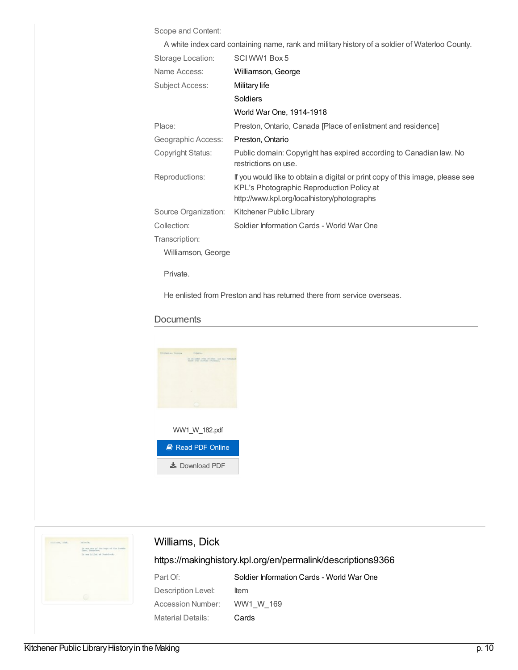#### Scope and Content:

| A white index card containing name, rank and military history of a soldier of Waterloo County. |                                                                                                                                                                           |  |
|------------------------------------------------------------------------------------------------|---------------------------------------------------------------------------------------------------------------------------------------------------------------------------|--|
| Storage Location:                                                                              | SCIWW1 Box 5                                                                                                                                                              |  |
| Name Access:                                                                                   | Williamson, George                                                                                                                                                        |  |
| <b>Subject Access:</b>                                                                         | Military life                                                                                                                                                             |  |
|                                                                                                | Soldiers                                                                                                                                                                  |  |
|                                                                                                | World War One, 1914-1918                                                                                                                                                  |  |
| Place:                                                                                         | Preston, Ontario, Canada [Place of enlistment and residence]                                                                                                              |  |
| Geographic Access:                                                                             | Preston, Ontario                                                                                                                                                          |  |
| Copyright Status:                                                                              | Public domain: Copyright has expired according to Canadian law. No<br>restrictions on use.                                                                                |  |
| Reproductions:                                                                                 | If you would like to obtain a digital or print copy of this image, please see<br>KPL's Photographic Reproduction Policy at<br>http://www.kpl.org/localhistory/photographs |  |
| Source Organization:                                                                           | Kitchener Public Library                                                                                                                                                  |  |
| Collection:                                                                                    | Soldier Information Cards - World War One                                                                                                                                 |  |
| Transcription:                                                                                 |                                                                                                                                                                           |  |
| Williamson, George                                                                             |                                                                                                                                                                           |  |
| Private.                                                                                       |                                                                                                                                                                           |  |

He enlisted from Preston and has returned there from service overseas.

#### **Documents**





# Williams, Dick

| Part Of:                    | Soldier Information Cards - World War One |
|-----------------------------|-------------------------------------------|
| Description Level:          | ltem                                      |
| Accession Number: WW1 W 169 |                                           |
| Material Details:           | Cards                                     |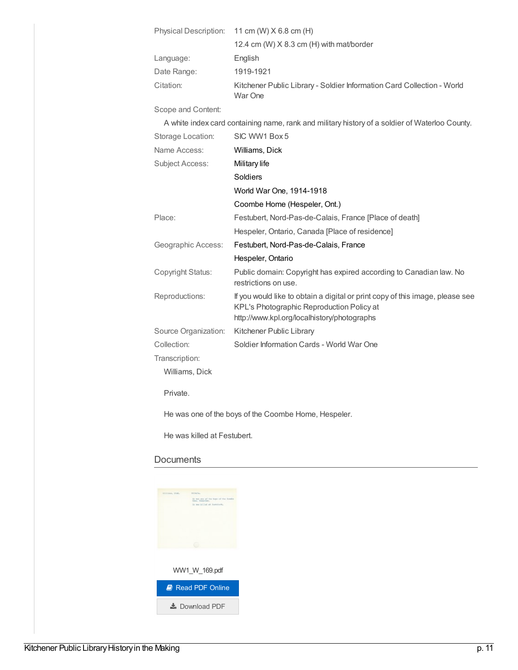| Physical Description:    | 11 cm (W) X 6.8 cm (H)                                                                                                                                                    |
|--------------------------|---------------------------------------------------------------------------------------------------------------------------------------------------------------------------|
|                          | 12.4 cm (W) X 8.3 cm (H) with mat/border                                                                                                                                  |
| Language:                | English                                                                                                                                                                   |
| Date Range:              | 1919-1921                                                                                                                                                                 |
| Citation:                | Kitchener Public Library - Soldier Information Card Collection - World<br>War One                                                                                         |
| Scope and Content:       |                                                                                                                                                                           |
|                          | A white index card containing name, rank and military history of a soldier of Waterloo County.                                                                            |
| Storage Location:        | SIC WW1 Box 5                                                                                                                                                             |
| Name Access:             | Williams, Dick                                                                                                                                                            |
| <b>Subject Access:</b>   | Military life                                                                                                                                                             |
|                          | Soldiers                                                                                                                                                                  |
|                          | World War One, 1914-1918                                                                                                                                                  |
|                          | Coombe Home (Hespeler, Ont.)                                                                                                                                              |
| Place:                   | Festubert, Nord-Pas-de-Calais, France [Place of death]                                                                                                                    |
|                          | Hespeler, Ontario, Canada [Place of residence]                                                                                                                            |
| Geographic Access:       | Festubert, Nord-Pas-de-Calais, France                                                                                                                                     |
|                          | Hespeler, Ontario                                                                                                                                                         |
| <b>Copyright Status:</b> | Public domain: Copyright has expired according to Canadian law. No<br>restrictions on use.                                                                                |
| Reproductions:           | If you would like to obtain a digital or print copy of this image, please see<br>KPL's Photographic Reproduction Policy at<br>http://www.kpl.org/localhistory/photographs |
| Source Organization:     | Kitchener Public Library                                                                                                                                                  |
| Collection:              | Soldier Information Cards - World War One                                                                                                                                 |
| Transcription:           |                                                                                                                                                                           |
| Williams, Dick           |                                                                                                                                                                           |
| Private.                 |                                                                                                                                                                           |

He was one of the boys of the Coombe Home, Hespeler.

He was killed at Festubert.

| SISTEARS, STAKE | move two                                                |
|-----------------|---------------------------------------------------------|
|                 | In man and of the bone of the founds<br>time, Enerales. |
|                 | In ma killed at Restolarti.                             |
|                 |                                                         |
|                 |                                                         |
|                 |                                                         |
|                 |                                                         |
|                 |                                                         |
|                 |                                                         |
|                 |                                                         |
|                 |                                                         |
|                 |                                                         |
|                 |                                                         |
|                 | WW1 W 169.pdf                                           |
|                 |                                                         |
|                 | Read PDF Online                                         |
|                 |                                                         |
|                 |                                                         |
|                 | $\pm$ Download PDF                                      |
|                 |                                                         |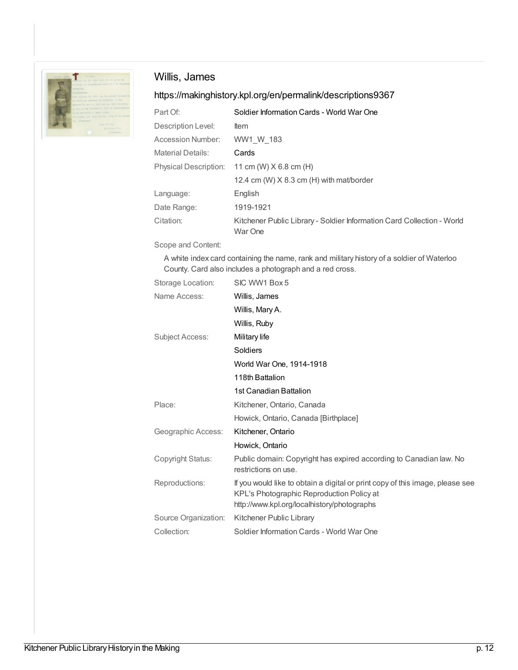

# Willis, James

## <https://makinghistory.kpl.org/en/permalink/descriptions9367>

| Part Of:                     | Soldier Information Cards - World War One                                         |
|------------------------------|-----------------------------------------------------------------------------------|
| Description Level:           | <b>Item</b>                                                                       |
| Accession Number:            | WW1 W 183                                                                         |
| <b>Material Details:</b>     | Cards                                                                             |
| <b>Physical Description:</b> | 11 cm (W) $X$ 6.8 cm (H)                                                          |
|                              | 12.4 cm (W) X 8.3 cm (H) with mat/border                                          |
| Language:                    | English                                                                           |
| Date Range:                  | 1919-1921                                                                         |
| Citation:                    | Kitchener Public Library - Soldier Information Card Collection - World<br>War One |

Scope and Content:

A white index card containing the name, rank and military history of a soldier of Waterloo County. Card also includes a photograph and a red cross.

| Storage Location:    | SIC WW1 Box 5                                                                                                                                                             |
|----------------------|---------------------------------------------------------------------------------------------------------------------------------------------------------------------------|
| Name Access:         | Willis, James                                                                                                                                                             |
|                      | Willis, Mary A.                                                                                                                                                           |
|                      | Willis, Ruby                                                                                                                                                              |
| Subject Access:      | Military life                                                                                                                                                             |
|                      | Soldiers                                                                                                                                                                  |
|                      | World War One, 1914-1918                                                                                                                                                  |
|                      | 118th Battalion                                                                                                                                                           |
|                      | 1st Canadian Battalion                                                                                                                                                    |
| Place:               | Kitchener, Ontario, Canada                                                                                                                                                |
|                      | Howick, Ontario, Canada [Birthplace]                                                                                                                                      |
| Geographic Access:   | Kitchener, Ontario                                                                                                                                                        |
|                      | Howick, Ontario                                                                                                                                                           |
| Copyright Status:    | Public domain: Copyright has expired according to Canadian law. No<br>restrictions on use.                                                                                |
| Reproductions:       | If you would like to obtain a digital or print copy of this image, please see<br>KPL's Photographic Reproduction Policy at<br>http://www.kpl.org/localhistory/photographs |
| Source Organization: | Kitchener Public Library                                                                                                                                                  |
| Collection:          | Soldier Information Cards - World War One                                                                                                                                 |